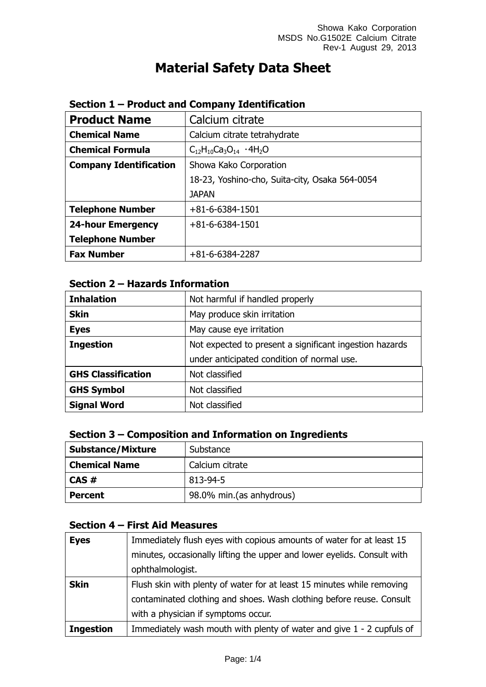# **Material Safety Data Sheet**

| <b>Product Name</b>           | Calcium citrate                                |  |
|-------------------------------|------------------------------------------------|--|
| <b>Chemical Name</b>          | Calcium citrate tetrahydrate                   |  |
| <b>Chemical Formula</b>       | $C_{12}H_{10}Ca_3O_{14}$ · 4H <sub>2</sub> O   |  |
| <b>Company Identification</b> | Showa Kako Corporation                         |  |
|                               | 18-23, Yoshino-cho, Suita-city, Osaka 564-0054 |  |
|                               | <b>JAPAN</b>                                   |  |
| <b>Telephone Number</b>       | $+81 - 6 - 6384 - 1501$                        |  |
| <b>24-hour Emergency</b>      | $+81 - 6 - 6384 - 1501$                        |  |
| <b>Telephone Number</b>       |                                                |  |
| <b>Fax Number</b>             | $+81-6-6384-2287$                              |  |

### **Section 1 – Product and Company Identification**

### **Section 2 – Hazards Information**

| <b>Inhalation</b>         | Not harmful if handled properly                         |  |
|---------------------------|---------------------------------------------------------|--|
| <b>Skin</b>               | May produce skin irritation                             |  |
| <b>Eyes</b>               | May cause eye irritation                                |  |
| <b>Ingestion</b>          | Not expected to present a significant ingestion hazards |  |
|                           | under anticipated condition of normal use.              |  |
| <b>GHS Classification</b> | Not classified                                          |  |
| <b>GHS Symbol</b>         | Not classified                                          |  |
| <b>Signal Word</b>        | Not classified                                          |  |

### **Section 3 – Composition and Information on Ingredients**

| <b>Substance/Mixture</b> | Substance                |  |
|--------------------------|--------------------------|--|
| <b>Chemical Name</b>     | Calcium citrate          |  |
| CAS#                     | 813-94-5                 |  |
| <b>Percent</b>           | 98.0% min.(as anhydrous) |  |

# **Section 4 – First Aid Measures**

| <b>Eyes</b>      | Immediately flush eyes with copious amounts of water for at least 15    |
|------------------|-------------------------------------------------------------------------|
|                  | minutes, occasionally lifting the upper and lower eyelids. Consult with |
|                  | ophthalmologist.                                                        |
| <b>Skin</b>      | Flush skin with plenty of water for at least 15 minutes while removing  |
|                  | contaminated clothing and shoes. Wash clothing before reuse. Consult    |
|                  | with a physician if symptoms occur.                                     |
| <b>Ingestion</b> | Immediately wash mouth with plenty of water and give 1 - 2 cupfuls of   |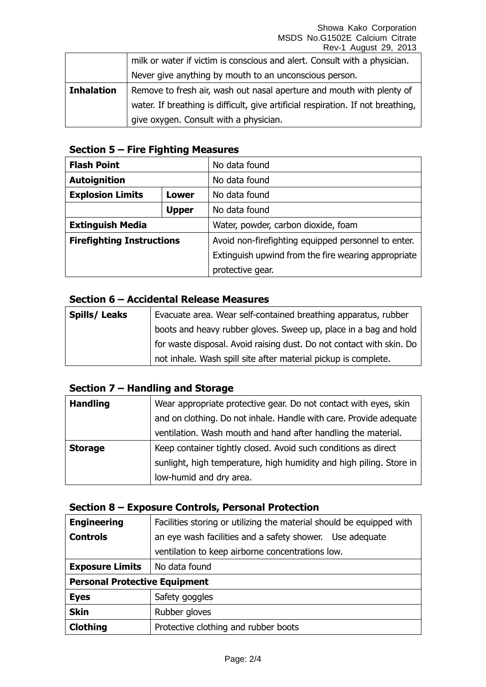#### Showa Kako Corporation MSDS No.G1502E Calcium Citrate Rev-1 August 29, 2013

|                   | milk or water if victim is conscious and alert. Consult with a physician.        |
|-------------------|----------------------------------------------------------------------------------|
|                   | Never give anything by mouth to an unconscious person.                           |
| <b>Inhalation</b> | Remove to fresh air, wash out nasal aperture and mouth with plenty of            |
|                   | water. If breathing is difficult, give artificial respiration. If not breathing, |
|                   | give oxygen. Consult with a physician.                                           |

### **Section 5 – Fire Fighting Measures**

| <b>Flash Point</b>               |                               | No data found                                       |
|----------------------------------|-------------------------------|-----------------------------------------------------|
| <b>Autoignition</b>              |                               | No data found                                       |
| <b>Explosion Limits</b><br>Lower |                               | No data found                                       |
|                                  | No data found<br><b>Upper</b> |                                                     |
| <b>Extinguish Media</b>          |                               | Water, powder, carbon dioxide, foam                 |
| <b>Firefighting Instructions</b> |                               | Avoid non-firefighting equipped personnel to enter. |
|                                  |                               | Extinguish upwind from the fire wearing appropriate |
|                                  |                               | protective gear.                                    |

#### **Section 6 – Accidental Release Measures**

| <b>Spills/Leaks</b> | Evacuate area. Wear self-contained breathing apparatus, rubber       |  |
|---------------------|----------------------------------------------------------------------|--|
|                     | boots and heavy rubber gloves. Sweep up, place in a bag and hold     |  |
|                     | for waste disposal. Avoid raising dust. Do not contact with skin. Do |  |
|                     | not inhale. Wash spill site after material pickup is complete.       |  |

#### **Section 7 – Handling and Storage**

| <b>Handling</b> | Wear appropriate protective gear. Do not contact with eyes, skin    |
|-----------------|---------------------------------------------------------------------|
|                 | and on clothing. Do not inhale. Handle with care. Provide adequate  |
|                 | ventilation. Wash mouth and hand after handling the material.       |
| <b>Storage</b>  | Keep container tightly closed. Avoid such conditions as direct      |
|                 | sunlight, high temperature, high humidity and high piling. Store in |
|                 | low-humid and dry area.                                             |

### **Section 8 – Exposure Controls, Personal Protection**

| <b>Engineering</b>                   | Facilities storing or utilizing the material should be equipped with |  |
|--------------------------------------|----------------------------------------------------------------------|--|
| <b>Controls</b>                      | an eye wash facilities and a safety shower. Use adequate             |  |
|                                      | ventilation to keep airborne concentrations low.                     |  |
| <b>Exposure Limits</b>               | No data found                                                        |  |
| <b>Personal Protective Equipment</b> |                                                                      |  |
| <b>Eyes</b>                          | Safety goggles                                                       |  |
| <b>Skin</b>                          | Rubber gloves                                                        |  |
| <b>Clothing</b>                      | Protective clothing and rubber boots                                 |  |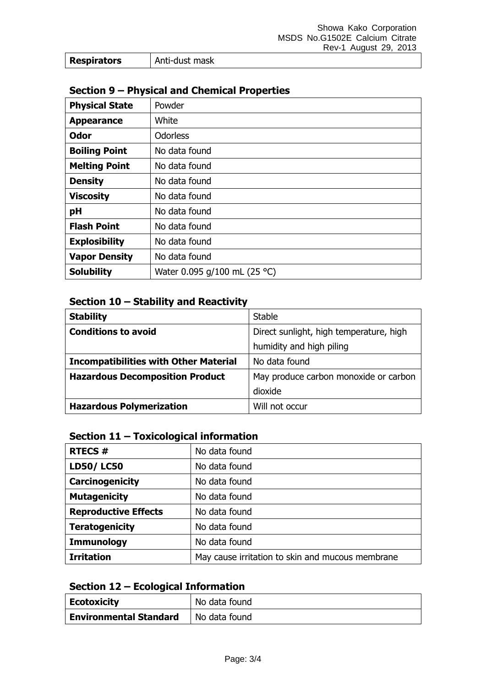| <b>Respirators</b> | Anti-dust mask |
|--------------------|----------------|
|--------------------|----------------|

## **Section 9 – Physical and Chemical Properties**

| <b>Physical State</b> | Powder                       |
|-----------------------|------------------------------|
| <b>Appearance</b>     | White                        |
| <b>Odor</b>           | <b>Odorless</b>              |
| <b>Boiling Point</b>  | No data found                |
| <b>Melting Point</b>  | No data found                |
| <b>Density</b>        | No data found                |
| <b>Viscosity</b>      | No data found                |
| pH                    | No data found                |
| <b>Flash Point</b>    | No data found                |
| <b>Explosibility</b>  | No data found                |
| <b>Vapor Density</b>  | No data found                |
| <b>Solubility</b>     | Water 0.095 g/100 mL (25 °C) |

### **Section 10 – Stability and Reactivity**

| <b>Stability</b>                             | <b>Stable</b>                           |
|----------------------------------------------|-----------------------------------------|
| <b>Conditions to avoid</b>                   | Direct sunlight, high temperature, high |
|                                              | humidity and high piling                |
| <b>Incompatibilities with Other Material</b> | No data found                           |
| <b>Hazardous Decomposition Product</b>       | May produce carbon monoxide or carbon   |
|                                              | dioxide                                 |
| <b>Hazardous Polymerization</b>              | Will not occur                          |

## **Section 11 – Toxicological information**

| <b>RTECS#</b>               | No data found                                    |
|-----------------------------|--------------------------------------------------|
| <b>LD50/LC50</b>            | No data found                                    |
| <b>Carcinogenicity</b>      | No data found                                    |
| <b>Mutagenicity</b>         | No data found                                    |
| <b>Reproductive Effects</b> | No data found                                    |
| <b>Teratogenicity</b>       | No data found                                    |
| <b>Immunology</b>           | No data found                                    |
| <b>Irritation</b>           | May cause irritation to skin and mucous membrane |

## **Section 12 – Ecological Information**

| <b>Ecotoxicity</b>            | No data found |
|-------------------------------|---------------|
| <b>Environmental Standard</b> | No data found |